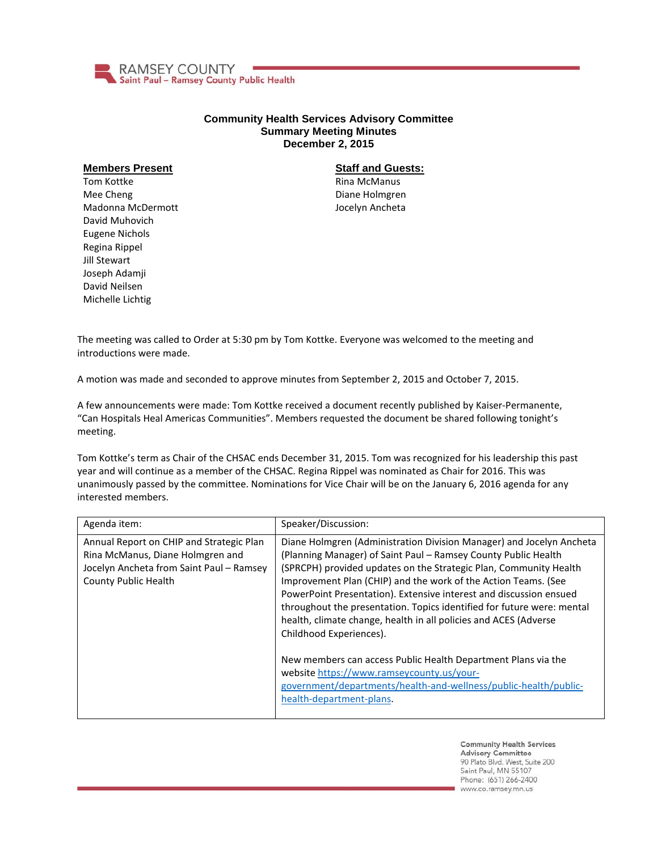

## **Community Health Services Advisory Committee Summary Meeting Minutes December 2, 2015**

## **Members Present**

Tom Kottke Mee Cheng Madonna McDermott David Muhovich Eugene Nichols Regina Rippel Jill Stewart Joseph Adamji David Neilsen Michelle Lichtig

## **Staff and Guests:**

Rina McManus Diane Holmgren Jocelyn Ancheta

The meeting was called to Order at 5:30 pm by Tom Kottke. Everyone was welcomed to the meeting and introductions were made.

A motion was made and seconded to approve minutes from September 2, 2015 and October 7, 2015.

A few announcements were made: Tom Kottke received a document recently published by Kaiser-Permanente, "Can Hospitals Heal Americas Communities". Members requested the document be shared following tonight's meeting.

Tom Kottke's term as Chair of the CHSAC ends December 31, 2015. Tom was recognized for his leadership this past year and will continue as a member of the CHSAC. Regina Rippel was nominated as Chair for 2016. This was unanimously passed by the committee. Nominations for Vice Chair will be on the January 6, 2016 agenda for any interested members.

| Agenda item:                                                                                                                                     | Speaker/Discussion:                                                                                                                                                                                                                                                                                                                                                                                                                                                                                                          |
|--------------------------------------------------------------------------------------------------------------------------------------------------|------------------------------------------------------------------------------------------------------------------------------------------------------------------------------------------------------------------------------------------------------------------------------------------------------------------------------------------------------------------------------------------------------------------------------------------------------------------------------------------------------------------------------|
| Annual Report on CHIP and Strategic Plan<br>Rina McManus, Diane Holmgren and<br>Jocelyn Ancheta from Saint Paul - Ramsey<br>County Public Health | Diane Holmgren (Administration Division Manager) and Jocelyn Ancheta<br>(Planning Manager) of Saint Paul - Ramsey County Public Health<br>(SPRCPH) provided updates on the Strategic Plan, Community Health<br>Improvement Plan (CHIP) and the work of the Action Teams. (See<br>PowerPoint Presentation). Extensive interest and discussion ensued<br>throughout the presentation. Topics identified for future were: mental<br>health, climate change, health in all policies and ACES (Adverse<br>Childhood Experiences). |
|                                                                                                                                                  | New members can access Public Health Department Plans via the<br>website https://www.ramseycounty.us/your-<br>government/departments/health-and-wellness/public-health/public-<br>health-department-plans.                                                                                                                                                                                                                                                                                                                   |

**Community Health Services Advisory Committee** 90 Plato Blvd. West, Suite 200 Saint Paul, MN 55107 Phone: (651) 266-2400 www.co.ramsey.mn.us